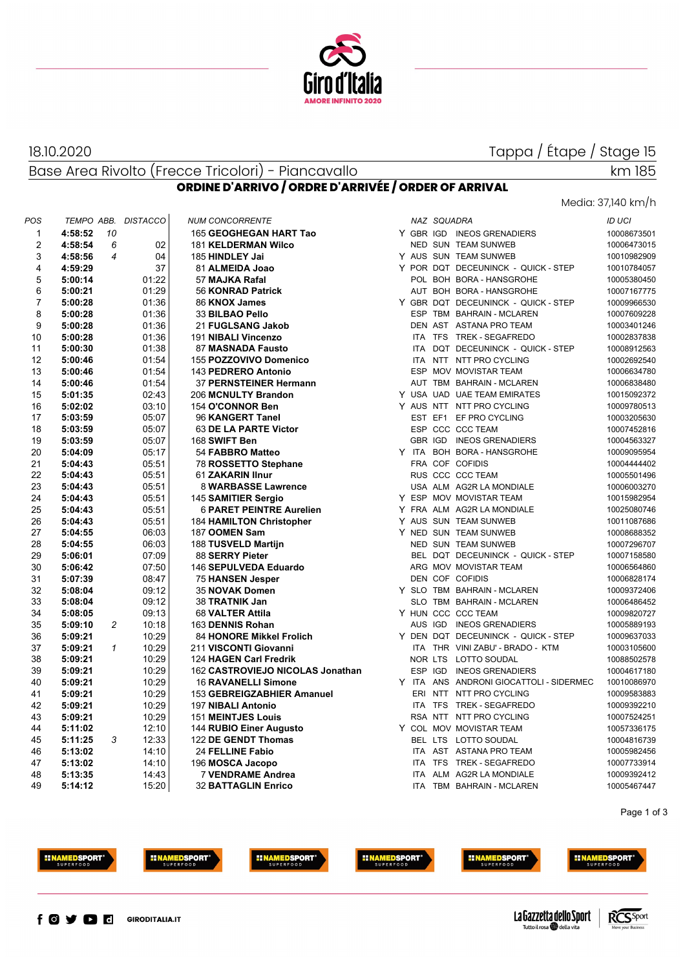

**ORDINE D'ARRIVO / ORDRE D'ARRIVÉE / ORDER OF ARRIVAL**

### 18.10.2020

Tappa / Étape / Stage 15

Base Area Rivolto (Frecce Tricolori) - Piancavallo

### Media: 37,140 km/h

km 185

| POS |         |                | TEMPO ABB. DISTACCO | <b>NUM CONCORRENTE</b>           |  | NAZ SQUADRA |                                         | <b>ID UCI</b> |
|-----|---------|----------------|---------------------|----------------------------------|--|-------------|-----------------------------------------|---------------|
| 1   | 4:58:52 | -10            |                     | 165 GEOGHEGAN HART Tao           |  |             | Y GBR IGD INEOS GRENADIERS              | 10008673501   |
| 2   | 4:58:54 | 6              | 02                  | <b>181 KELDERMAN Wilco</b>       |  |             | NED SUN TEAM SUNWEB                     | 10006473015   |
| 3   | 4:58:56 | $\overline{4}$ | 04                  | 185 HINDLEY Jai                  |  |             | Y AUS SUN TEAM SUNWEB                   | 10010982909   |
| 4   | 4:59:29 |                | 37                  | 81 ALMEIDA Joao                  |  |             | Y POR DQT DECEUNINCK - QUICK - STEP     | 10010784057   |
| 5   | 5:00:14 |                | 01:22               | 57 MAJKA Rafal                   |  |             | POL BOH BORA - HANSGROHE                | 10005380450   |
| 6   | 5:00:21 |                | 01:29               | 56 KONRAD Patrick                |  |             | AUT BOH BORA - HANSGROHE                | 10007167775   |
| 7   | 5:00:28 |                | 01:36               | 86 KNOX James                    |  |             | Y GBR DQT DECEUNINCK - QUICK - STEP     | 10009966530   |
| 8   | 5:00:28 |                | 01:36               | 33 BILBAO Pello                  |  |             | ESP TBM BAHRAIN - MCLAREN               | 10007609228   |
| 9   | 5:00:28 |                | 01:36               | 21 FUGLSANG Jakob                |  |             | DEN AST ASTANA PRO TEAM                 | 10003401246   |
| 10  | 5:00:28 |                | 01:36               | 191 NIBALI Vincenzo              |  |             | ITA TFS TREK - SEGAFREDO                | 10002837838   |
| 11  | 5:00:30 |                | 01:38               | 87 MASNADA Fausto                |  |             | ITA DQT DECEUNINCK - QUICK - STEP       | 10008912563   |
| 12  | 5:00:46 |                | 01:54               | 155 POZZOVIVO Domenico           |  |             | ITA NTT NTT PRO CYCLING                 | 10002692540   |
| 13  | 5:00:46 |                | 01:54               | 143 PEDRERO Antonio              |  |             | ESP MOV MOVISTAR TEAM                   | 10006634780   |
| 14  | 5:00:46 |                | 01:54               | 37 PERNSTEINER Hermann           |  |             | AUT TBM BAHRAIN - MCLAREN               | 10006838480   |
| 15  | 5:01:35 |                | 02:43               | 206 MCNULTY Brandon              |  |             | Y USA UAD UAE TEAM EMIRATES             | 10015092372   |
| 16  | 5:02:02 |                | 03:10               | 154 O'CONNOR Ben                 |  |             | Y AUS NTT NTT PRO CYCLING               | 10009780513   |
| 17  | 5:03:59 |                | 05:07               | 96 KANGERT Tanel                 |  |             | EST EF1 EF PRO CYCLING                  | 10003205630   |
| 18  | 5:03:59 |                | 05:07               | 63 DE LA PARTE Victor            |  |             | ESP CCC CCC TEAM                        | 10007452816   |
| 19  | 5:03:59 |                | 05:07               | 168 SWIFT Ben                    |  |             | GBR IGD INEOS GRENADIERS                | 10004563327   |
| 20  | 5:04:09 |                | 05:17               | 54 FABBRO Matteo                 |  |             | Y ITA BOH BORA - HANSGROHE              | 10009095954   |
| 21  | 5:04:43 |                | 05:51               | 78 ROSSETTO Stephane             |  |             | FRA COF COFIDIS                         | 10004444402   |
| 22  | 5:04:43 |                | 05:51               | 61 ZAKARIN IInur                 |  |             | RUS CCC CCC TEAM                        | 10005501496   |
| 23  | 5:04:43 |                | 05:51               | 8 WARBASSE Lawrence              |  |             | USA ALM AG2R LA MONDIALE                | 10006003270   |
| 24  | 5:04:43 |                | 05:51               | 145 SAMITIER Sergio              |  |             | Y ESP MOV MOVISTAR TEAM                 | 10015982954   |
| 25  | 5:04:43 |                | 05:51               | <b>6 PARET PEINTRE Aurelien</b>  |  |             | Y FRA ALM AG2R LA MONDIALE              | 10025080746   |
| 26  | 5:04:43 |                | 05:51               | <b>184 HAMILTON Christopher</b>  |  |             | Y AUS SUN TEAM SUNWEB                   | 10011087686   |
| 27  | 5:04:55 |                | 06:03               | 187 OOMEN Sam                    |  |             | Y NED SUN TEAM SUNWEB                   | 10008688352   |
| 28  | 5:04:55 |                | 06:03               | 188 TUSVELD Martijn              |  |             | <b>NED SUN TEAM SUNWEB</b>              | 10007296707   |
| 29  | 5:06:01 |                | 07:09               | 88 SERRY Pieter                  |  |             | BEL DQT DECEUNINCK - QUICK - STEP       | 10007158580   |
| 30  | 5:06:42 |                | 07:50               | 146 SEPULVEDA Eduardo            |  |             | ARG MOV MOVISTAR TEAM                   | 10006564860   |
| 31  | 5:07:39 |                | 08:47               | 75 HANSEN Jesper                 |  |             | DEN COF COFIDIS                         | 10006828174   |
| 32  | 5:08:04 |                | 09:12               | 35 NOVAK Domen                   |  |             | Y SLO TBM BAHRAIN - MCLAREN             | 10009372406   |
| 33  | 5:08:04 |                | 09:12               | 38 TRATNIK Jan                   |  |             | SLO TBM BAHRAIN - MCLAREN               | 10006486452   |
| 34  | 5:08:05 |                | 09:13               | 68 VALTER Attila                 |  |             | Y HUN CCC CCC TEAM                      | 10009820727   |
| 35  | 5:09:10 | $\overline{c}$ | 10:18               | 163 DENNIS Rohan                 |  |             | AUS IGD INEOS GRENADIERS                | 10005889193   |
| 36  | 5:09:21 |                | 10:29               | <b>84 HONORE Mikkel Frolich</b>  |  |             | Y DEN DQT DECEUNINCK - QUICK - STEP     | 10009637033   |
| 37  | 5:09:21 | $\mathcal I$   | 10:29               | 211 VISCONTI Giovanni            |  |             | ITA THR VINI ZABU' - BRADO - KTM        | 10003105600   |
| 38  | 5:09:21 |                | 10:29               | 124 HAGEN Carl Fredrik           |  |             | NOR LTS LOTTO SOUDAL                    | 10088502578   |
| 39  | 5:09:21 |                | 10:29               | 162 CASTROVIEJO NICOLAS Jonathan |  |             | ESP IGD INEOS GRENADIERS                | 10004617180   |
| 40  | 5:09:21 |                | 10:29               | <b>16 RAVANELLI Simone</b>       |  |             | Y ITA ANS ANDRONI GIOCATTOLI - SIDERMEC | 10010086970   |
| 41  | 5:09:21 |                | 10:29               | 153 GEBREIGZABHIER Amanuel       |  |             | ERI NTT NTT PRO CYCLING                 | 10009583883   |
| 42  | 5:09:21 |                | 10:29               | <b>197 NIBALI Antonio</b>        |  |             | ITA TFS TREK - SEGAFREDO                | 10009392210   |
| 43  | 5:09:21 |                | 10:29               | <b>151 MEINTJES Louis</b>        |  |             | RSA NTT NTT PRO CYCLING                 | 10007524251   |
| 44  | 5:11:02 |                | 12:10               | 144 RUBIO Einer Augusto          |  |             | Y COL MOV MOVISTAR TEAM                 | 10057336175   |
| 45  | 5:11:25 | 3              | 12:33               | 122 DE GENDT Thomas              |  |             | BEL LTS LOTTO SOUDAL                    | 10004816739   |
| 46  | 5:13:02 |                | 14:10               | 24 FELLINE Fabio                 |  |             | ITA AST ASTANA PRO TEAM                 | 10005982456   |
| 47  | 5:13:02 |                | 14:10               | 196 MOSCA Jacopo                 |  |             | ITA TFS TREK - SEGAFREDO                | 10007733914   |
| 48  | 5:13:35 |                | 14:43               | 7 VENDRAME Andrea                |  |             | ITA ALM AG2R LA MONDIALE                | 10009392412   |
| 49  | 5:14:12 |                | 15:20               | <b>32 BATTAGLIN Enrico</b>       |  |             | ITA TBM BAHRAIN - MCLAREN               | 10005467447   |
|     |         |                |                     |                                  |  |             |                                         |               |

Page 1 of 3







**EINAMEDSPORT** 





**HINAMEDSPORT** 





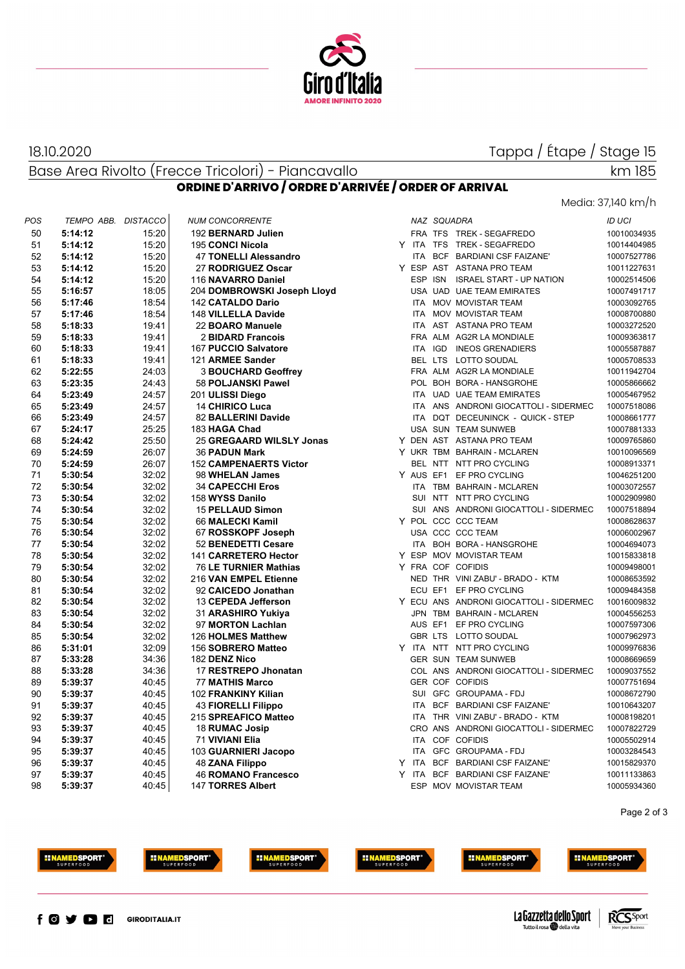

#### 18.10.2020

Tappa / Étape / Stage 15

Base Area Rivolto (Frecce Tricolori) - Piancavallo **ORDINE D'ARRIVO / ORDRE D'ARRIVÉE / ORDER OF ARRIVAL**

## Media: 37,140 km/h

km 185

| POS | TEMPO ABB. DISTACCO |       | <b>NUM CONCORRENTE</b>        |            | NAZ SQUADRA |                                         | <b>ID UCI</b> |
|-----|---------------------|-------|-------------------------------|------------|-------------|-----------------------------------------|---------------|
| 50  | 5:14:12             | 15:20 | 192 BERNARD Julien            |            |             | FRA TFS TREK - SEGAFREDO                | 10010034935   |
| 51  | 5:14:12             | 15:20 | 195 CONCI Nicola              |            |             | Y ITA TFS TREK-SEGAFREDO                | 10014404985   |
| 52  | 5:14:12             | 15:20 | 47 TONELLI Alessandro         | <b>ITA</b> |             | BCF BARDIANI CSF FAIZANE'               | 10007527786   |
| 53  | 5:14:12             | 15:20 | 27 RODRIGUEZ Oscar            |            |             | Y ESP AST ASTANA PRO TEAM               | 10011227631   |
| 54  | 5:14:12             | 15:20 | 116 NAVARRO Daniel            |            |             | ESP ISN ISRAEL START - UP NATION        | 10002514506   |
| 55  | 5:16:57             | 18:05 | 204 DOMBROWSKI Joseph Lloyd   |            |             | USA UAD UAE TEAM EMIRATES               | 10007491717   |
| 56  | 5:17:46             | 18:54 | 142 CATALDO Dario             |            |             | ITA MOV MOVISTAR TEAM                   | 10003092765   |
| 57  | 5:17:46             | 18:54 | 148 VILLELLA Davide           |            |             | ITA MOV MOVISTAR TEAM                   | 10008700880   |
| 58  | 5:18:33             | 19:41 | 22 BOARO Manuele              |            |             | ITA AST ASTANA PRO TEAM                 | 10003272520   |
| 59  | 5:18:33             | 19:41 | 2 BIDARD Francois             |            |             | FRA ALM AG2R LA MONDIALE                | 10009363817   |
| 60  | 5:18:33             | 19:41 | 167 PUCCIO Salvatore          |            |             | ITA IGD INEOS GRENADIERS                | 10005587887   |
| 61  | 5:18:33             | 19:41 | 121 ARMEE Sander              |            |             | BEL LTS LOTTO SOUDAL                    | 10005708533   |
| 62  | 5:22:55             | 24:03 | <b>3 BOUCHARD Geoffrey</b>    |            |             | FRA ALM AG2R LA MONDIALE                | 10011942704   |
| 63  | 5:23:35             | 24:43 | 58 POLJANSKI Pawel            |            |             | POL BOH BORA - HANSGROHE                | 10005866662   |
| 64  | 5:23:49             | 24:57 | 201 ULISSI Diego              |            |             | ITA UAD UAE TEAM EMIRATES               | 10005467952   |
| 65  | 5:23:49             | 24:57 | <b>14 CHIRICO Luca</b>        |            |             | ITA ANS ANDRONI GIOCATTOLI - SIDERMEC   | 10007518086   |
| 66  | 5:23:49             | 24:57 | 82 BALLERINI Davide           |            |             | ITA DQT DECEUNINCK - QUICK - STEP       | 10008661777   |
| 67  | 5:24:17             | 25:25 | 183 HAGA Chad                 |            |             | USA SUN TEAM SUNWEB                     | 10007881333   |
| 68  | 5:24:42             | 25:50 | 25 GREGAARD WILSLY Jonas      |            |             | Y DEN AST ASTANA PRO TEAM               | 10009765860   |
| 69  | 5:24:59             | 26:07 | <b>36 PADUN Mark</b>          |            |             | Y UKR TBM BAHRAIN - MCLAREN             | 10010096569   |
| 70  | 5:24:59             | 26:07 | <b>152 CAMPENAERTS Victor</b> |            |             | BEL NTT NTT PRO CYCLING                 | 10008913371   |
| 71  | 5:30:54             | 32:02 | 98 WHELAN James               |            |             | Y AUS EF1 EF PRO CYCLING                | 10046251200   |
| 72  | 5:30:54             | 32:02 | <b>34 CAPECCHI Eros</b>       |            |             | ITA TBM BAHRAIN - MCLAREN               | 10003072557   |
| 73  | 5:30:54             | 32:02 | 158 WYSS Danilo               |            |             | SUI NTT NTT PRO CYCLING                 | 10002909980   |
| 74  | 5:30:54             | 32:02 | <b>15 PELLAUD Simon</b>       |            |             | SUI ANS ANDRONI GIOCATTOLI - SIDERMEC   | 10007518894   |
| 75  | 5:30:54             | 32:02 | 66 MALECKI Kamil              |            |             | Y POL CCC CCC TEAM                      | 10008628637   |
| 76  | 5:30:54             | 32:02 | 67 ROSSKOPF Joseph            |            |             | USA CCC CCC TEAM                        | 10006002967   |
| 77  | 5:30:54             | 32:02 | 52 BENEDETTI Cesare           |            |             | ITA BOH BORA - HANSGROHE                | 10004694073   |
| 78  | 5:30:54             | 32:02 | 141 CARRETERO Hector          |            |             | Y ESP MOV MOVISTAR TEAM                 | 10015833818   |
| 79  | 5:30:54             | 32:02 | 76 LE TURNIER Mathias         |            |             | Y FRA COF COFIDIS                       | 10009498001   |
| 80  | 5:30:54             | 32:02 | 216 VAN EMPEL Etienne         |            |             | NED THR VINI ZABU' - BRADO - KTM        | 10008653592   |
| 81  | 5:30:54             | 32:02 | 92 CAICEDO Jonathan           |            |             | ECU EF1 EF PRO CYCLING                  | 10009484358   |
| 82  | 5:30:54             | 32:02 | 13 CEPEDA Jefferson           |            |             | Y ECU ANS ANDRONI GIOCATTOLI - SIDERMEC | 10016009832   |
| 83  | 5:30:54             | 32:02 | 31 ARASHIRO Yukiya            |            |             | JPN TBM BAHRAIN - MCLAREN               | 10004556253   |
| 84  | 5:30:54             | 32:02 | 97 MORTON Lachlan             |            |             | AUS EF1 EF PRO CYCLING                  | 10007597306   |
| 85  | 5:30:54             | 32:02 | 126 HOLMES Matthew            |            |             | GBR LTS LOTTO SOUDAL                    | 10007962973   |
| 86  | 5:31:01             | 32:09 | 156 SOBRERO Matteo            |            |             | Y ITA NTT NTT PRO CYCLING               | 10009976836   |
| 87  | 5:33:28             | 34:36 | 182 DENZ Nico                 |            |             | <b>GER SUN TEAM SUNWEB</b>              | 10008669659   |
| 88  | 5:33:28             | 34:36 | 17 RESTREPO Jhonatan          |            |             | COL ANS ANDRONI GIOCATTOLI - SIDERMEC   | 10009037552   |
| 89  | 5:39:37             | 40:45 | <b>77 MATHIS Marco</b>        |            |             | <b>GER COF COFIDIS</b>                  | 10007751694   |
| 90  | 5:39:37             | 40:45 | 102 FRANKINY Kilian           |            |             | SUI GFC GROUPAMA - FDJ                  | 10008672790   |
| 91  | 5:39:37             | 40:45 | <b>43 FIORELLI Filippo</b>    |            |             | ITA BCF BARDIANI CSF FAIZANE'           | 10010643207   |
| 92  | 5:39:37             | 40:45 | 215 SPREAFICO Matteo          |            |             | ITA THR VINI ZABU' - BRADO - KTM        | 10008198201   |
| 93  | 5:39:37             | 40:45 | 18 RUMAC Josip                |            |             | CRO ANS ANDRONI GIOCATTOLI - SIDERMEC   | 10007822729   |
| 94  | 5:39:37             | 40:45 | 71 VIVIANI Elia               |            |             | ITA COF COFIDIS                         | 10005502914   |
| 95  | 5:39:37             | 40:45 | 103 GUARNIERI Jacopo          | <b>ITA</b> |             | GFC GROUPAMA - FDJ                      | 10003284543   |
| 96  | 5:39:37             | 40:45 | 48 ZANA Filippo               |            |             | Y ITA BCF BARDIANI CSF FAIZANE'         | 10015829370   |
| 97  | 5:39:37             | 40:45 | <b>46 ROMANO Francesco</b>    |            |             | Y ITA BCF BARDIANI CSF FAIZANE'         | 10011133863   |
| 98  | 5:39:37             | 40:45 | <b>147 TORRES Albert</b>      |            |             | ESP MOV MOVISTAR TEAM                   | 10005934360   |

Page 2 of 3







**INAMEDSPORT**